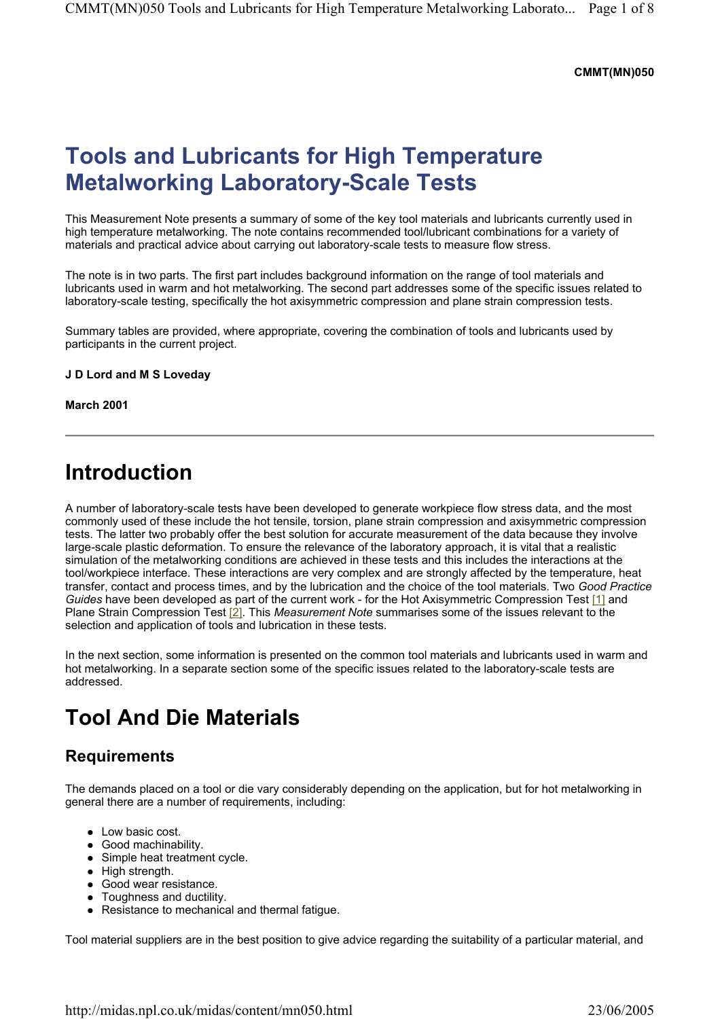#### **CMMT(MN)050**

# **Tools and Lubricants for High Temperature Metalworking Laboratory-Scale Tests**

This Measurement Note presents a summary of some of the key tool materials and lubricants currently used in high temperature metalworking. The note contains recommended tool/lubricant combinations for a variety of materials and practical advice about carrying out laboratory-scale tests to measure flow stress.

The note is in two parts. The first part includes background information on the range of tool materials and lubricants used in warm and hot metalworking. The second part addresses some of the specific issues related to laboratory-scale testing, specifically the hot axisymmetric compression and plane strain compression tests.

Summary tables are provided, where appropriate, covering the combination of tools and lubricants used by participants in the current project.

**J D Lord and M S Loveday** 

**March 2001** 

## **Introduction**

A number of laboratory-scale tests have been developed to generate workpiece flow stress data, and the most commonly used of these include the hot tensile, torsion, plane strain compression and axisymmetric compression tests. The latter two probably offer the best solution for accurate measurement of the data because they involve large-scale plastic deformation. To ensure the relevance of the laboratory approach, it is vital that a realistic simulation of the metalworking conditions are achieved in these tests and this includes the interactions at the tool/workpiece interface. These interactions are very complex and are strongly affected by the temperature, heat transfer, contact and process times, and by the lubrication and the choice of the tool materials. Two *Good Practice Guides* have been developed as part of the current work - for the Hot Axisymmetric Compression Test [1] and Plane Strain Compression Test [2]. This *Measurement Note* summarises some of the issues relevant to the selection and application of tools and lubrication in these tests.

In the next section, some information is presented on the common tool materials and lubricants used in warm and hot metalworking. In a separate section some of the specific issues related to the laboratory-scale tests are addressed.

# **Tool And Die Materials**

### **Requirements**

The demands placed on a tool or die vary considerably depending on the application, but for hot metalworking in general there are a number of requirements, including:

- Low basic cost.
- Good machinability.
- $\bullet$  Simple heat treatment cycle.
- $\bullet$  High strength.
- Good wear resistance.
- Toughness and ductility.
- Resistance to mechanical and thermal fatigue.

Tool material suppliers are in the best position to give advice regarding the suitability of a particular material, and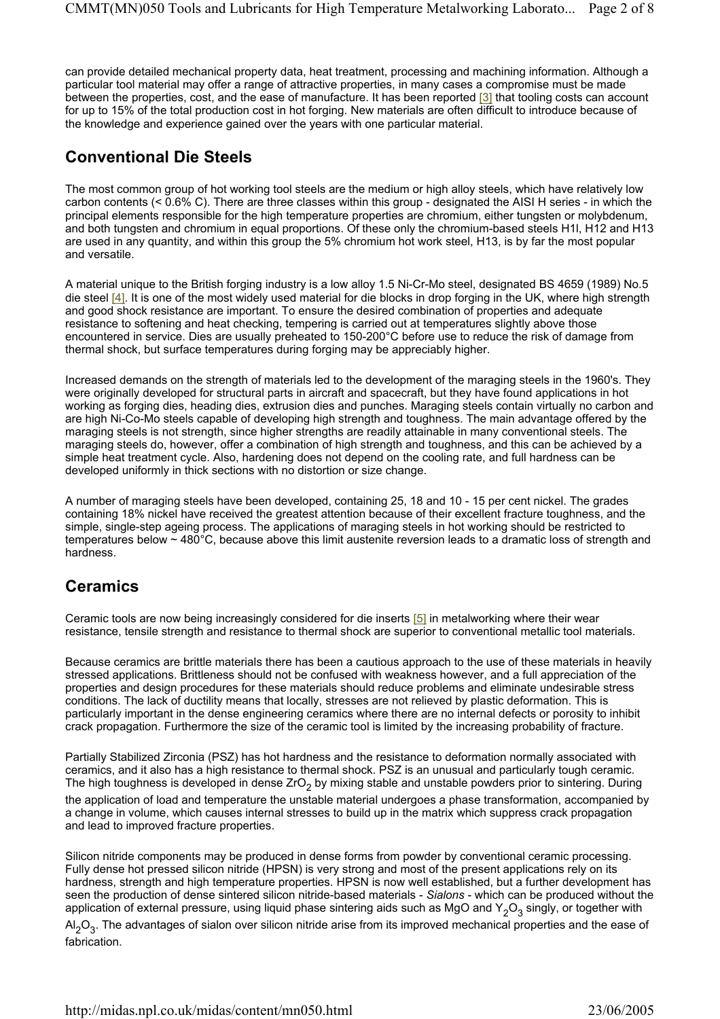can provide detailed mechanical property data, heat treatment, processing and machining information. Although a particular tool material may offer a range of attractive properties, in many cases a compromise must be made between the properties, cost, and the ease of manufacture. It has been reported [3] that tooling costs can account for up to 15% of the total production cost in hot forging. New materials are often difficult to introduce because of the knowledge and experience gained over the years with one particular material.

### **Conventional Die Steels**

The most common group of hot working tool steels are the medium or high alloy steels, which have relatively low carbon contents (< 0.6% C). There are three classes within this group - designated the AISI H series - in which the principal elements responsible for the high temperature properties are chromium, either tungsten or molybdenum, and both tungsten and chromium in equal proportions. Of these only the chromium-based steels H1l, H12 and H13 are used in any quantity, and within this group the 5% chromium hot work steel, H13, is by far the most popular and versatile.

A material unique to the British forging industry is a low alloy 1.5 Ni-Cr-Mo steel, designated BS 4659 (1989) No.5 die steel [4]. It is one of the most widely used material for die blocks in drop forging in the UK, where high strength and good shock resistance are important. To ensure the desired combination of properties and adequate resistance to softening and heat checking, tempering is carried out at temperatures slightly above those encountered in service. Dies are usually preheated to 150-200°C before use to reduce the risk of damage from thermal shock, but surface temperatures during forging may be appreciably higher.

Increased demands on the strength of materials led to the development of the maraging steels in the 1960's. They were originally developed for structural parts in aircraft and spacecraft, but they have found applications in hot working as forging dies, heading dies, extrusion dies and punches. Maraging steels contain virtually no carbon and are high Ni-Co-Mo steels capable of developing high strength and toughness. The main advantage offered by the maraging steels is not strength, since higher strengths are readily attainable in many conventional steels. The maraging steels do, however, offer a combination of high strength and toughness, and this can be achieved by a simple heat treatment cycle. Also, hardening does not depend on the cooling rate, and full hardness can be developed uniformly in thick sections with no distortion or size change.

A number of maraging steels have been developed, containing 25, 18 and 10 - 15 per cent nickel. The grades containing 18% nickel have received the greatest attention because of their excellent fracture toughness, and the simple, single-step ageing process. The applications of maraging steels in hot working should be restricted to temperatures below ~ 480°C, because above this limit austenite reversion leads to a dramatic loss of strength and hardness.

### **Ceramics**

Ceramic tools are now being increasingly considered for die inserts [5] in metalworking where their wear resistance, tensile strength and resistance to thermal shock are superior to conventional metallic tool materials.

Because ceramics are brittle materials there has been a cautious approach to the use of these materials in heavily stressed applications. Brittleness should not be confused with weakness however, and a full appreciation of the properties and design procedures for these materials should reduce problems and eliminate undesirable stress conditions. The lack of ductility means that locally, stresses are not relieved by plastic deformation. This is particularly important in the dense engineering ceramics where there are no internal defects or porosity to inhibit crack propagation. Furthermore the size of the ceramic tool is limited by the increasing probability of fracture.

Partially Stabilized Zirconia (PSZ) has hot hardness and the resistance to deformation normally associated with ceramics, and it also has a high resistance to thermal shock. PSZ is an unusual and particularly tough ceramic. The high toughness is developed in dense ZrO<sub>2</sub> by mixing stable and unstable powders prior to sintering. During the application of load and temperature the unstable material undergoes a phase transformation, accompanied by a change in volume, which causes internal stresses to build up in the matrix which suppress crack propagation and lead to improved fracture properties.

Silicon nitride components may be produced in dense forms from powder by conventional ceramic processing. Fully dense hot pressed silicon nitride (HPSN) is very strong and most of the present applications rely on its hardness, strength and high temperature properties. HPSN is now well established, but a further development has seen the production of dense sintered silicon nitride-based materials - *Sialons* - which can be produced without the application of external pressure, using liquid phase sintering aids such as MgO and  $Y_2O_3$  singly, or together with Al $_2$ O $_3$ . The advantages of sialon over silicon nitride arise from its improved mechanical properties and the ease of fabrication.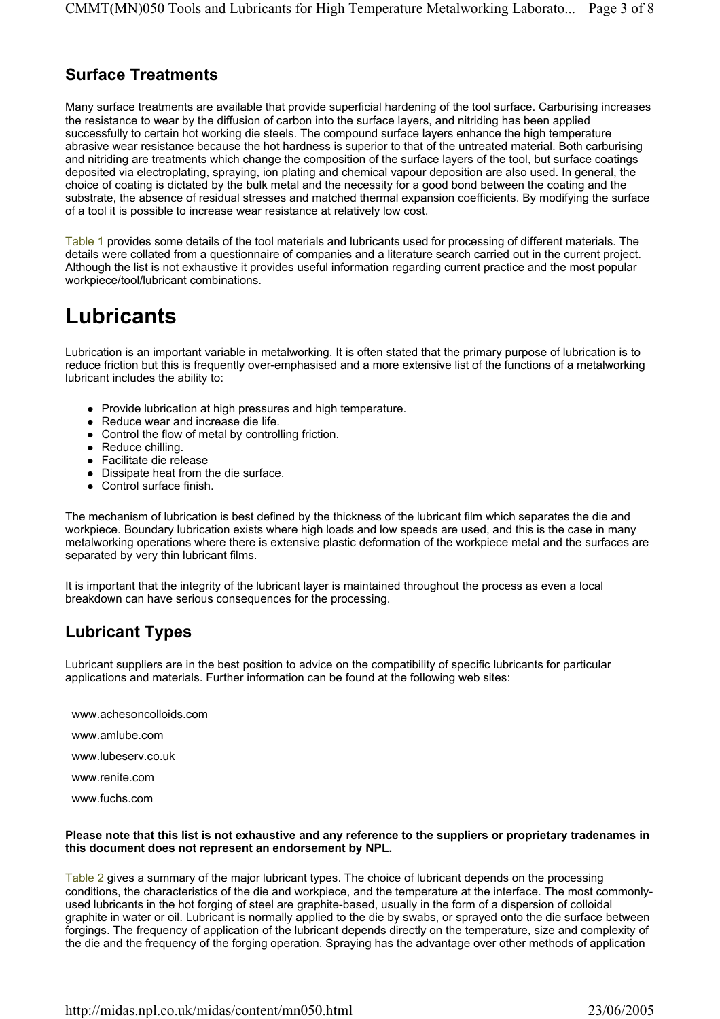### **Surface Treatments**

Many surface treatments are available that provide superficial hardening of the tool surface. Carburising increases the resistance to wear by the diffusion of carbon into the surface layers, and nitriding has been applied successfully to certain hot working die steels. The compound surface layers enhance the high temperature abrasive wear resistance because the hot hardness is superior to that of the untreated material. Both carburising and nitriding are treatments which change the composition of the surface layers of the tool, but surface coatings deposited via electroplating, spraying, ion plating and chemical vapour deposition are also used. In general, the choice of coating is dictated by the bulk metal and the necessity for a good bond between the coating and the substrate, the absence of residual stresses and matched thermal expansion coefficients. By modifying the surface of a tool it is possible to increase wear resistance at relatively low cost.

Table 1 provides some details of the tool materials and lubricants used for processing of different materials. The details were collated from a questionnaire of companies and a literature search carried out in the current project. Although the list is not exhaustive it provides useful information regarding current practice and the most popular workpiece/tool/lubricant combinations.

# **Lubricants**

Lubrication is an important variable in metalworking. It is often stated that the primary purpose of lubrication is to reduce friction but this is frequently over-emphasised and a more extensive list of the functions of a metalworking lubricant includes the ability to:

- Provide lubrication at high pressures and high temperature.
- $\bullet$  Reduce wear and increase die life.
- Control the flow of metal by controlling friction.
- $\bullet$  Reduce chilling.
- Facilitate die release
- Dissipate heat from the die surface.
- Control surface finish.

The mechanism of lubrication is best defined by the thickness of the lubricant film which separates the die and workpiece. Boundary lubrication exists where high loads and low speeds are used, and this is the case in many metalworking operations where there is extensive plastic deformation of the workpiece metal and the surfaces are separated by very thin lubricant films.

It is important that the integrity of the lubricant layer is maintained throughout the process as even a local breakdown can have serious consequences for the processing.

## **Lubricant Types**

Lubricant suppliers are in the best position to advice on the compatibility of specific lubricants for particular applications and materials. Further information can be found at the following web sites:

www.achesoncolloids.com

www.amlube.com

www.lubeserv.co.uk

www.renite.com

www.fuchs.com

#### **Please note that this list is not exhaustive and any reference to the suppliers or proprietary tradenames in this document does not represent an endorsement by NPL.**

Table 2 gives a summary of the major lubricant types. The choice of lubricant depends on the processing conditions, the characteristics of the die and workpiece, and the temperature at the interface. The most commonlyused lubricants in the hot forging of steel are graphite-based, usually in the form of a dispersion of colloidal graphite in water or oil. Lubricant is normally applied to the die by swabs, or sprayed onto the die surface between forgings. The frequency of application of the lubricant depends directly on the temperature, size and complexity of the die and the frequency of the forging operation. Spraying has the advantage over other methods of application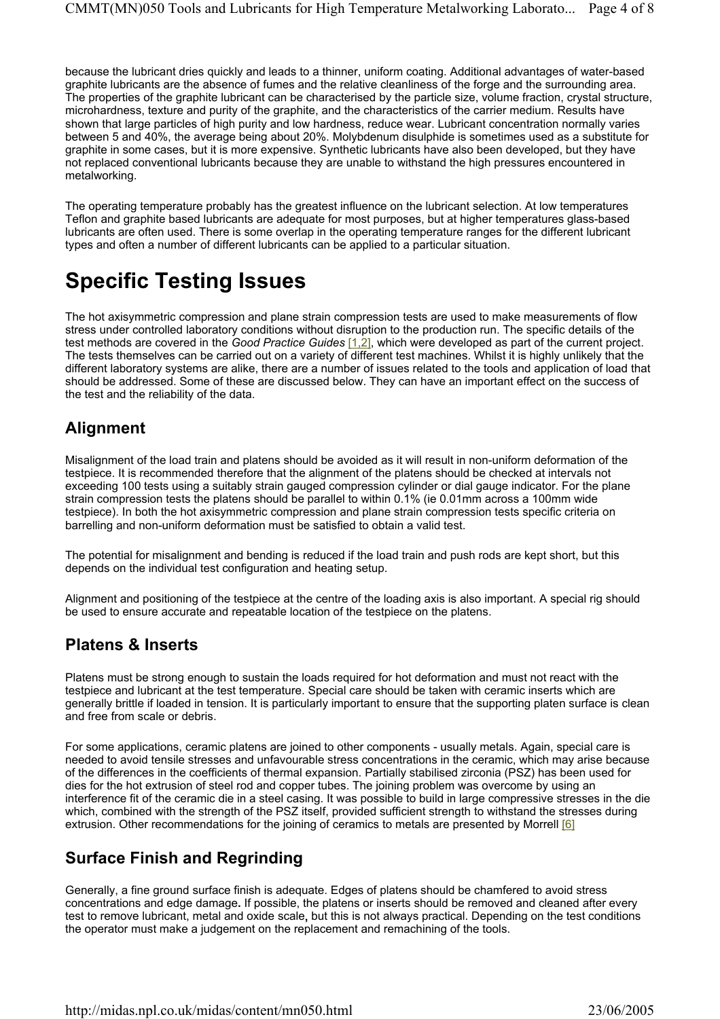because the lubricant dries quickly and leads to a thinner, uniform coating. Additional advantages of water-based graphite lubricants are the absence of fumes and the relative cleanliness of the forge and the surrounding area. The properties of the graphite lubricant can be characterised by the particle size, volume fraction, crystal structure, microhardness, texture and purity of the graphite, and the characteristics of the carrier medium. Results have shown that large particles of high purity and low hardness, reduce wear. Lubricant concentration normally varies between 5 and 40%, the average being about 20%. Molybdenum disulphide is sometimes used as a substitute for graphite in some cases, but it is more expensive. Synthetic lubricants have also been developed, but they have not replaced conventional lubricants because they are unable to withstand the high pressures encountered in metalworking.

The operating temperature probably has the greatest influence on the lubricant selection. At low temperatures Teflon and graphite based lubricants are adequate for most purposes, but at higher temperatures glass-based lubricants are often used. There is some overlap in the operating temperature ranges for the different lubricant types and often a number of different lubricants can be applied to a particular situation.

# **Specific Testing Issues**

The hot axisymmetric compression and plane strain compression tests are used to make measurements of flow stress under controlled laboratory conditions without disruption to the production run. The specific details of the test methods are covered in the *Good Practice Guides* [1,2], which were developed as part of the current project. The tests themselves can be carried out on a variety of different test machines. Whilst it is highly unlikely that the different laboratory systems are alike, there are a number of issues related to the tools and application of load that should be addressed. Some of these are discussed below. They can have an important effect on the success of the test and the reliability of the data.

### **Alignment**

Misalignment of the load train and platens should be avoided as it will result in non-uniform deformation of the testpiece. It is recommended therefore that the alignment of the platens should be checked at intervals not exceeding 100 tests using a suitably strain gauged compression cylinder or dial gauge indicator. For the plane strain compression tests the platens should be parallel to within 0.1% (ie 0.01mm across a 100mm wide testpiece). In both the hot axisymmetric compression and plane strain compression tests specific criteria on barrelling and non-uniform deformation must be satisfied to obtain a valid test.

The potential for misalignment and bending is reduced if the load train and push rods are kept short, but this depends on the individual test configuration and heating setup.

Alignment and positioning of the testpiece at the centre of the loading axis is also important. A special rig should be used to ensure accurate and repeatable location of the testpiece on the platens.

### **Platens & Inserts**

Platens must be strong enough to sustain the loads required for hot deformation and must not react with the testpiece and lubricant at the test temperature. Special care should be taken with ceramic inserts which are generally brittle if loaded in tension. It is particularly important to ensure that the supporting platen surface is clean and free from scale or debris.

For some applications, ceramic platens are joined to other components - usually metals. Again, special care is needed to avoid tensile stresses and unfavourable stress concentrations in the ceramic, which may arise because of the differences in the coefficients of thermal expansion. Partially stabilised zirconia (PSZ) has been used for dies for the hot extrusion of steel rod and copper tubes. The joining problem was overcome by using an interference fit of the ceramic die in a steel casing. It was possible to build in large compressive stresses in the die which, combined with the strength of the PSZ itself, provided sufficient strength to withstand the stresses during extrusion. Other recommendations for the joining of ceramics to metals are presented by Morrell [6]

### **Surface Finish and Regrinding**

Generally, a fine ground surface finish is adequate. Edges of platens should be chamfered to avoid stress concentrations and edge damage**.** If possible, the platens or inserts should be removed and cleaned after every test to remove lubricant, metal and oxide scale**,** but this is not always practical. Depending on the test conditions the operator must make a judgement on the replacement and remachining of the tools.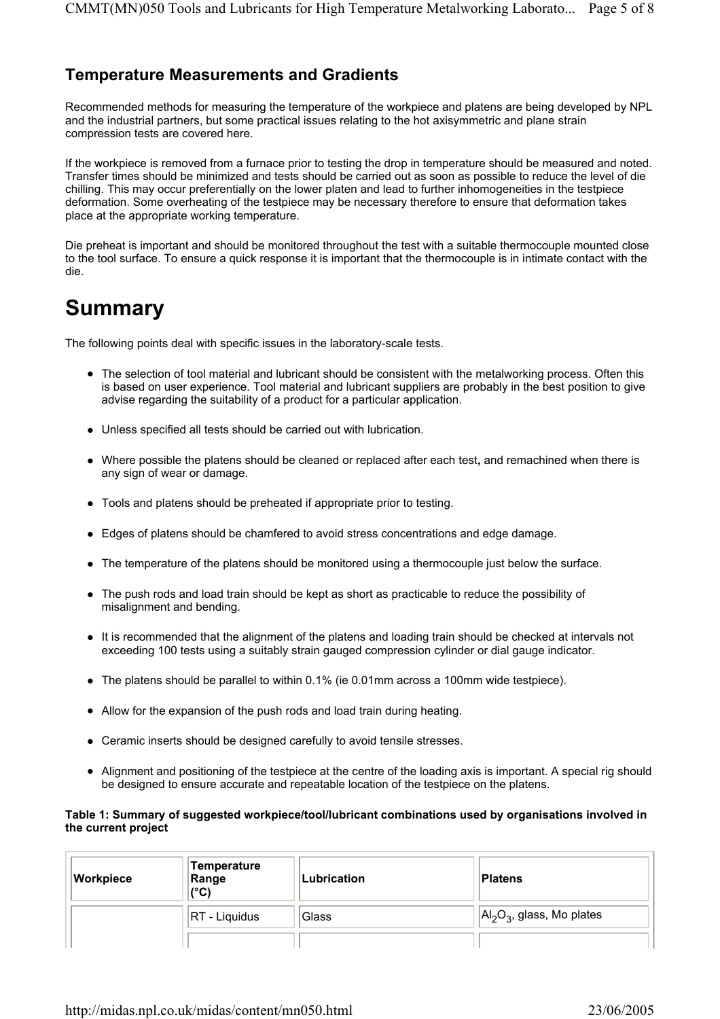### **Temperature Measurements and Gradients**

Recommended methods for measuring the temperature of the workpiece and platens are being developed by NPL and the industrial partners, but some practical issues relating to the hot axisymmetric and plane strain compression tests are covered here.

If the workpiece is removed from a furnace prior to testing the drop in temperature should be measured and noted. Transfer times should be minimized and tests should be carried out as soon as possible to reduce the level of die chilling. This may occur preferentially on the lower platen and lead to further inhomogeneities in the testpiece deformation. Some overheating of the testpiece may be necessary therefore to ensure that deformation takes place at the appropriate working temperature.

Die preheat is important and should be monitored throughout the test with a suitable thermocouple mounted close to the tool surface. To ensure a quick response it is important that the thermocouple is in intimate contact with the die.

# **Summary**

The following points deal with specific issues in the laboratory-scale tests.

- The selection of tool material and lubricant should be consistent with the metalworking process. Often this is based on user experience. Tool material and lubricant suppliers are probably in the best position to give advise regarding the suitability of a product for a particular application.
- Unless specified all tests should be carried out with lubrication.
- Where possible the platens should be cleaned or replaced after each test, and remachined when there is any sign of wear or damage.
- Tools and platens should be preheated if appropriate prior to testing.
- Edges of platens should be chamfered to avoid stress concentrations and edge damage.
- The temperature of the platens should be monitored using a thermocouple just below the surface.
- The push rods and load train should be kept as short as practicable to reduce the possibility of misalignment and bending.
- It is recommended that the alignment of the platens and loading train should be checked at intervals not exceeding 100 tests using a suitably strain gauged compression cylinder or dial gauge indicator.
- $\bullet$  The platens should be parallel to within 0.1% (ie 0.01mm across a 100mm wide testpiece).
- Allow for the expansion of the push rods and load train during heating.
- Ceramic inserts should be designed carefully to avoid tensile stresses.
- Alignment and positioning of the testpiece at the centre of the loading axis is important. A special rig should be designed to ensure accurate and repeatable location of the testpiece on the platens.

#### **Table 1: Summary of suggested workpiece/tool/lubricant combinations used by organisations involved in the current project**

| Workpiece | <b>Temperature</b><br>Range<br>$(^{\circ}C)$ | Lubrication | Platens                       |
|-----------|----------------------------------------------|-------------|-------------------------------|
|           | <b>RT</b> - Liquidus                         | Glass       | $ Al_2O_3$ , glass, Mo plates |
|           |                                              |             |                               |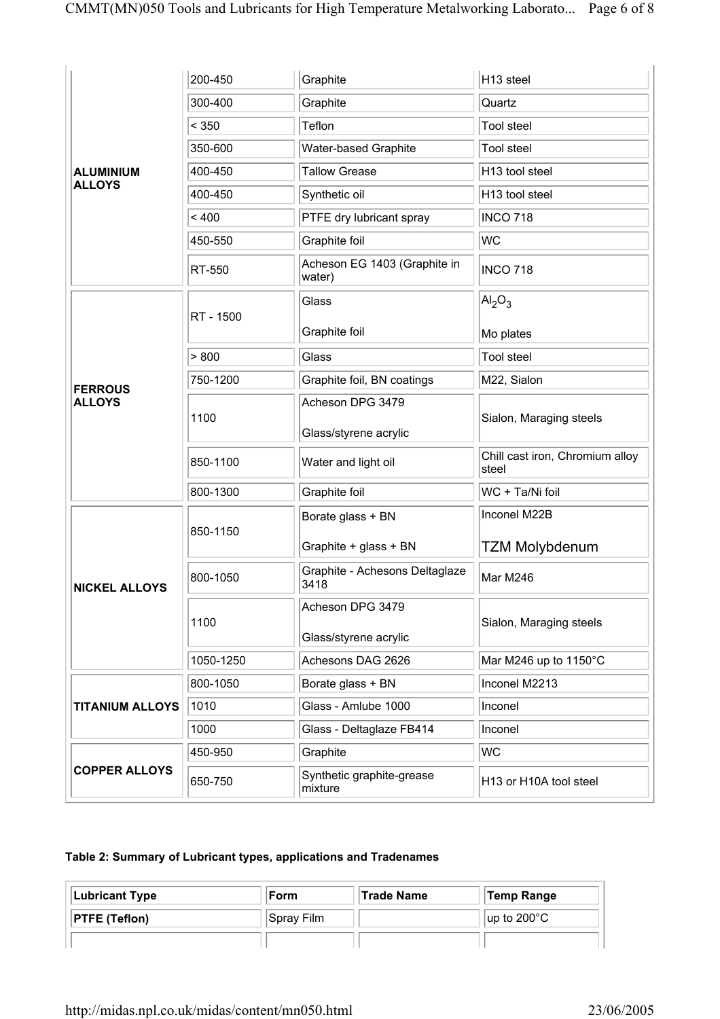|                        | 200-450   | Graphite                                                       | H13 steel                                |  |
|------------------------|-----------|----------------------------------------------------------------|------------------------------------------|--|
|                        | 300-400   | Graphite                                                       | Quartz                                   |  |
|                        | < 350     | Teflon                                                         | <b>Tool steel</b>                        |  |
|                        | 350-600   | Water-based Graphite                                           | <b>Tool steel</b>                        |  |
| <b>ALUMINIUM</b>       | 400-450   | <b>Tallow Grease</b>                                           | H13 tool steel                           |  |
| <b>ALLOYS</b>          | 400-450   | Synthetic oil                                                  | H13 tool steel                           |  |
|                        | < 400     | PTFE dry lubricant spray                                       | <b>INCO 718</b>                          |  |
|                        | 450-550   | Graphite foil                                                  | <b>WC</b>                                |  |
|                        | RT-550    | Acheson EG 1403 (Graphite in<br>water)                         | <b>INCO 718</b>                          |  |
|                        |           | Glass                                                          | AI <sub>2</sub> O <sub>3</sub>           |  |
|                        | RT - 1500 | Graphite foil                                                  | Mo plates                                |  |
|                        | > 800     | Glass                                                          | <b>Tool steel</b>                        |  |
| <b>FERROUS</b>         | 750-1200  | Graphite foil, BN coatings                                     | M22, Sialon                              |  |
| <b>ALLOYS</b>          |           | Acheson DPG 3479                                               |                                          |  |
|                        | 1100      | Sialon, Maraging steels<br>Glass/styrene acrylic               |                                          |  |
|                        | 850-1100  | Water and light oil                                            | Chill cast iron, Chromium alloy<br>steel |  |
|                        | 800-1300  | Graphite foil                                                  | WC + Ta/Ni foil                          |  |
|                        |           | Borate glass + BN                                              | Inconel M22B                             |  |
|                        | 850-1150  | Graphite + glass + BN                                          | <b>TZM Molybdenum</b>                    |  |
| <b>NICKEL ALLOYS</b>   | 800-1050  | Graphite - Achesons Deltaglaze<br>3418                         | Mar M246                                 |  |
|                        | 1100      | Acheson DPG 3479<br>Glass/styrene acrylic                      | Sialon, Maraging steels                  |  |
|                        | 1050-1250 | Achesons DAG 2626                                              | Mar M246 up to 1150°C                    |  |
|                        | 800-1050  | Borate glass + BN                                              | Inconel M2213                            |  |
| <b>TITANIUM ALLOYS</b> | 1010      | Glass - Amlube 1000                                            | Inconel                                  |  |
|                        | 1000      | Glass - Deltaglaze FB414                                       | Inconel                                  |  |
|                        | 450-950   | Graphite                                                       | <b>WC</b>                                |  |
| <b>COPPER ALLOYS</b>   | 650-750   | Synthetic graphite-grease<br>H13 or H10A tool steel<br>mixture |                                          |  |

### **Table 2: Summary of Lubricant types, applications and Tradenames**

| <b>Lubricant Type</b> | ∣Form      | ∣Trade Name | Temp Range                 |
|-----------------------|------------|-------------|----------------------------|
| <b>PTFE (Teflon)</b>  | Spray Film |             | $\mu$ p to 200 $\degree$ C |
|                       |            |             |                            |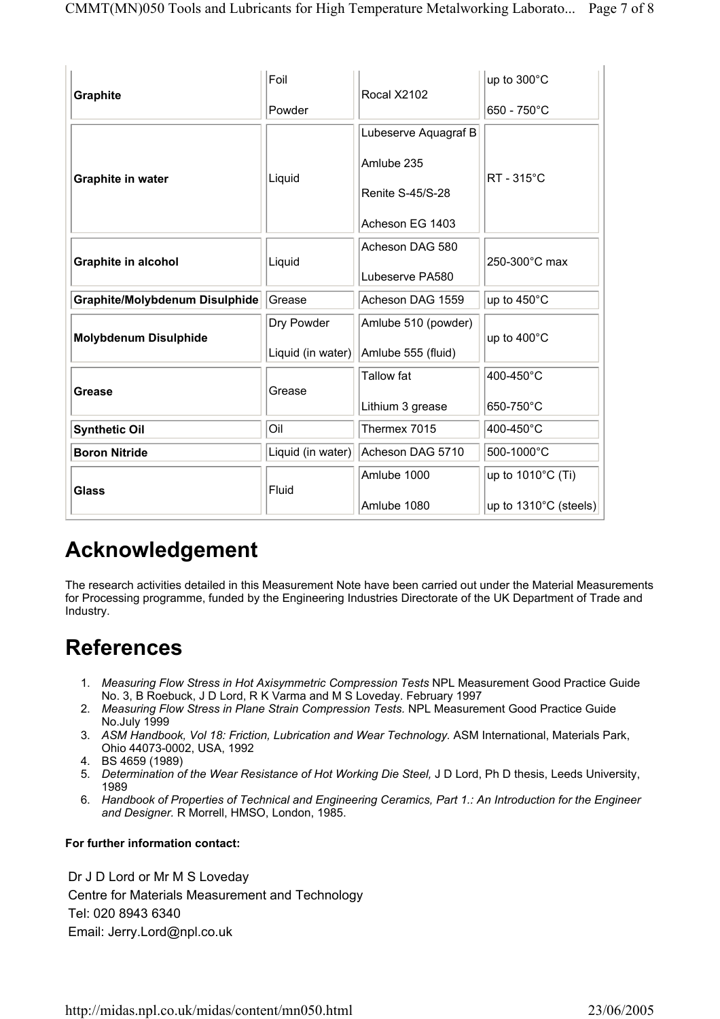| <b>Graphite</b>                | Foil              | Rocal X2102             | up to 300°C                     |  |
|--------------------------------|-------------------|-------------------------|---------------------------------|--|
|                                | Powder            |                         | 650 - 750°C                     |  |
|                                |                   | Lubeserve Aquagraf B    |                                 |  |
|                                |                   | Amlube 235              | RT - 315°C                      |  |
| Graphite in water              | Liquid            | <b>Renite S-45/S-28</b> |                                 |  |
|                                |                   | Acheson EG 1403         |                                 |  |
| <b>Graphite in alcohol</b>     | Liquid            | Acheson DAG 580         | 250-300°C max                   |  |
|                                |                   | Lubeserve PA580         |                                 |  |
| Graphite/Molybdenum Disulphide | Grease            | Acheson DAG 1559        | up to 450°C                     |  |
| <b>Molybdenum Disulphide</b>   | Dry Powder        | Amlube 510 (powder)     | up to 400°C                     |  |
|                                | Liquid (in water) | Amlube 555 (fluid)      |                                 |  |
|                                | Grease            | Tallow fat              | 400-450°C                       |  |
| Grease                         |                   | Lithium 3 grease        | 650-750°C                       |  |
| <b>Synthetic Oil</b>           | Oil               | Thermex 7015            | 400-450°C                       |  |
| <b>Boron Nitride</b>           | Liquid (in water) | Acheson DAG 5710        | 500-1000°C                      |  |
|                                |                   | Amlube 1000             | up to 1010°C (Ti)               |  |
| Glass                          | Fluid             | Amlube 1080             | up to $1310^{\circ}$ C (steels) |  |

# **Acknowledgement**

The research activities detailed in this Measurement Note have been carried out under the Material Measurements for Processing programme, funded by the Engineering Industries Directorate of the UK Department of Trade and Industry.

# **References**

- 1. *Measuring Flow Stress in Hot Axisymmetric Compression Tests* NPL Measurement Good Practice Guide No. 3, B Roebuck, J D Lord, R K Varma and M S Loveday. February 1997
- 2. *Measuring Flow Stress in Plane Strain Compression Tests.* NPL Measurement Good Practice Guide No.July 1999
- 3. *ASM Handbook, Vol 18: Friction, Lubrication and Wear Technology.* ASM International, Materials Park, Ohio 44073-0002, USA, 1992
- 4. BS 4659 (1989)
- 5. *Determination of the Wear Resistance of Hot Working Die Steel,* J D Lord, Ph D thesis, Leeds University, 1989
- 6. *Handbook of Properties of Technical and Engineering Ceramics, Part 1.: An Introduction for the Engineer and Designer.* R Morrell, HMSO, London, 1985.

#### **For further information contact:**

Dr J D Lord or Mr M S Loveday Centre for Materials Measurement and Technology Tel: 020 8943 6340 Email: Jerry.Lord@npl.co.uk